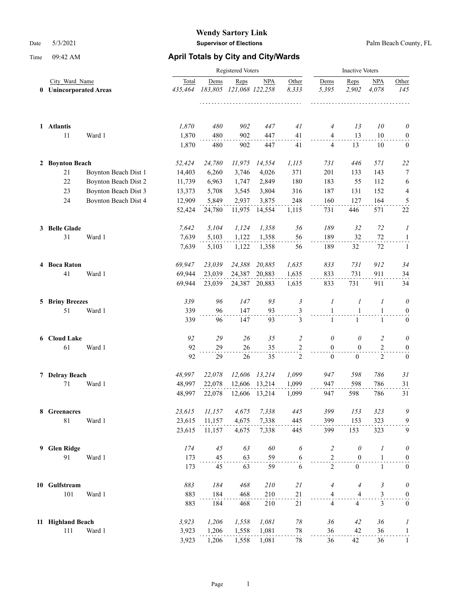|   | City Ward Name<br><b>Unincorporated Areas</b><br>$\bf{0}$ |                      |                  | Registered Voters | <b>Inactive Voters</b>          |            |                          |                          |                  |                         |                         |
|---|-----------------------------------------------------------|----------------------|------------------|-------------------|---------------------------------|------------|--------------------------|--------------------------|------------------|-------------------------|-------------------------|
|   |                                                           |                      | Total<br>435,464 | Dems              | Reps<br>183,805 121,068 122,258 | <b>NPA</b> | Other<br>8,333<br>111111 | Dems<br>5,395            | Reps<br>2,902    | NPA<br>4,078            | Other<br>145            |
|   | 1 Atlantis                                                |                      | 1,870            | 480               | 902                             | 447        | 41                       | 4                        | 13               | 10                      | $\theta$                |
|   | 11                                                        | Ward 1               | 1,870            | 480               | 902                             | 447        | 41                       | $\overline{4}$           | 13               | 10                      | $\boldsymbol{0}$        |
|   |                                                           |                      | 1,870            | 480               | 902                             | 447        | 41                       | 4                        | 13               | 10                      | $\boldsymbol{0}$        |
|   | 2 Boynton Beach                                           |                      | 52,424           | 24,780            | 11,975                          | 14,554     | 1,115                    | 731                      | 446              | 571                     | 22                      |
|   | 21                                                        | Boynton Beach Dist 1 | 14,403           | 6,260             | 3,746                           | 4,026      | 371                      | 201                      | 133              | 143                     | 7                       |
|   | 22                                                        | Boynton Beach Dist 2 | 11,739           | 6,963             | 1,747                           | 2,849      | 180                      | 183                      | 55               | 112                     | 6                       |
|   | 23                                                        | Boynton Beach Dist 3 | 13,373           | 5,708             | 3,545                           | 3,804      | 316                      | 187                      | 131              | 152                     | 4                       |
|   | 24                                                        | Boynton Beach Dist 4 | 12,909           | 5,849             | 2,937                           | 3,875      | 248                      | 160                      | 127              | 164                     | $\overline{\mathbf{5}}$ |
|   |                                                           |                      | 52,424           | 24,780            | 11,975                          | 14,554     | 1,115                    | 731                      | 446              | 571                     | 22                      |
|   | 3 Belle Glade                                             |                      | 7,642            | 5,104             | 1,124                           | 1,358      | 56                       | 189                      | 32               | 72                      | 1                       |
|   | 31                                                        | Ward 1               | 7,639            | 5,103             | 1,122                           | 1,358      | 56                       | 189                      | 32               | 72                      | $\mathbf{1}$            |
|   |                                                           |                      | 7,639            | 5,103             | 1,122                           | 1,358      | 56                       | 189                      | 32               | 72                      | 1                       |
|   | 4 Boca Raton                                              |                      | 69,947           | 23,039            | 24,388                          | 20,885     | 1,635                    | 833                      | 731              | 912                     | 34                      |
|   | 41                                                        | Ward 1               | 69,944           | 23,039            | 24,387                          | 20,883     | 1,635                    | 833                      | 731              | 911                     | 34                      |
|   |                                                           |                      | 69,944           | 23,039            | 24,387                          | 20,883     | 1,635                    | 833                      | 731              | 911                     | 34                      |
|   | <b>5 Briny Breezes</b>                                    |                      | 339              | 96                | 147                             | 93         | $\mathfrak{Z}$           | 1                        | 1                | 1                       | $\theta$                |
|   | 51                                                        | Ward 1               | 339              | 96                | 147                             | 93         | $\frac{3}{2}$            | $\mathbf{1}$             | $\mathbf{1}$     | $\mathbf{1}$            | $\boldsymbol{0}$        |
|   |                                                           |                      | 339              | 96                | 147                             | 93         | 3                        | $\mathbf{1}$             | $\mathbf{1}$     | $\mathbf{1}$            | $\mathbf{0}$            |
|   | 6 Cloud Lake                                              |                      | 92               | 29                | 26                              | 35         | $\overline{2}$           | 0                        | 0                | $\overline{2}$          | 0                       |
|   | 61                                                        | Ward 1               | 92               | 29                | 26                              | 35         | $\frac{2}{1}$            | $\mathbf{0}$             | $\mathbf{0}$     | $\overline{c}$          | $\boldsymbol{0}$        |
|   |                                                           |                      | 92               | 29                | 26                              | 35         | $\overline{c}$           | $\overline{0}$           | $\mathbf{0}$     | $\overline{2}$          | $\bf{0}$                |
|   | 7 Delray Beach                                            |                      | 48,997           | 22,078            | 12,606                          | 13,214     | 1,099                    | 947                      | 598              | 786                     | 31                      |
|   | 71                                                        | Ward 1               | 48,997           | 22,078            | 12,606                          | 13,214     | 1,099                    | 947                      | 598              | 786                     | 31                      |
|   |                                                           |                      | 48,997           | 22,078            | 12,606                          | 13,214     | 1,099                    | 947                      | 598              | 786                     | 31                      |
|   | 8 Greenacres                                              |                      | 23,615           | 11,157            | 4,675                           | 7,338      | 445                      | 399                      | 153              | 323                     | 9                       |
|   | $81\,$                                                    | Ward 1               | 23,615           | 11,157            | 4,675                           | 7,338      | 445                      | 399                      | 153              | 323                     | 9                       |
|   |                                                           |                      | 23,615           | 11,157            | 4,675                           | 7,338      | 445                      | 399                      | 153              | 323                     | 9                       |
| 9 | <b>Glen Ridge</b>                                         |                      | 174              | 45                | 63                              | 60         | 6                        | $\overline{c}$           | $\theta$         | 1                       | $\theta$                |
|   | 91                                                        | Ward 1               | 173              | 45                | 63                              | 59         | 6                        | $\mathbf{2}$             | $\mathbf{0}$     | $\mathbf{1}$            | $\boldsymbol{0}$        |
|   |                                                           |                      | 173              | 45                | 63                              | 59         | 6                        | $\overline{2}$           | $\boldsymbol{0}$ | $\mathbf{1}$            | $\boldsymbol{0}$        |
|   | 10 Gulfstream                                             |                      | 883              | 184               | 468                             | 210        | 21                       | 4                        | $\overline{4}$   | 3                       | $\theta$                |
|   | 101                                                       | Ward 1               | 883              | 184               | 468                             | 210        | $^{21}$                  | 4                        | 4                | 3                       | $\boldsymbol{0}$        |
|   |                                                           |                      | 883              | 184               | 468                             | 210        | 21                       | $\overline{\mathcal{L}}$ | $\overline{4}$   | $\overline{\mathbf{3}}$ | $\boldsymbol{0}$        |
|   | 11 Highland Beach                                         |                      | 3,923            | 1,206             | 1,558                           | 1,081      | $78\,$                   | 36                       | 42               | 36                      | 1                       |
|   | 111                                                       | Ward 1               | 3,923            | 1,206             | 1,558                           | 1,081      | 78                       | 36                       | 42               | 36                      | $\overline{1}$          |
|   |                                                           |                      | 3,923            | 1,206             | 1,558                           | 1,081      | 78                       | 36                       | 42               | 36                      | $\mathbf{1}$            |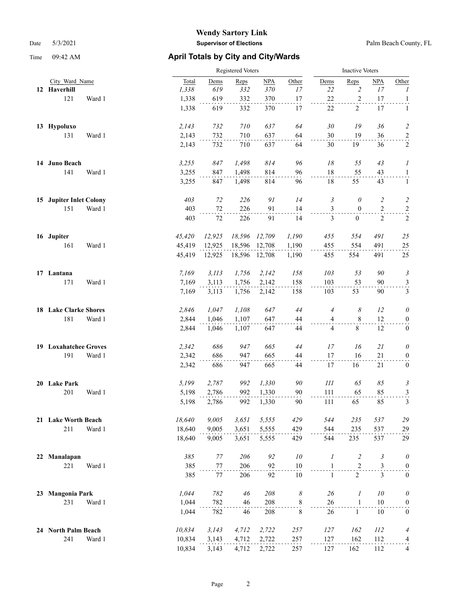|    |                              |        | <b>Registered Voters</b> |  |        |        |               |                       |                  | <b>Inactive Voters</b> |                |                  |  |  |
|----|------------------------------|--------|--------------------------|--|--------|--------|---------------|-----------------------|------------------|------------------------|----------------|------------------|--|--|
|    | City Ward Name               |        | Total                    |  | Dems   | Reps   | NPA           | Other                 | Dems             | Reps                   | NPA            | Other            |  |  |
|    | 12 Haverhill                 |        | 1,338                    |  | 619    | 332    | 370           | 17                    | 22               | $\overline{2}$         | 17             | 1                |  |  |
|    | 121                          | Ward 1 | 1,338                    |  | 619    | 332    | 370           | 17                    | $22\,$           | $\boldsymbol{2}$       | 17             | $\mathbf{1}$     |  |  |
|    |                              |        | 1,338                    |  | 619    | 332    | 370           | 17                    | 22               | 2                      | 17             | $\mathbf{1}$     |  |  |
|    | 13 Hypoluxo                  |        | 2,143                    |  | 732    | 710    | 637           | 64                    | $30\,$           | 19                     | 36             | $\overline{c}$   |  |  |
|    | 131                          | Ward 1 | 2,143                    |  | 732    | 710    | 637           | 64                    | 30               | 19                     | 36             | $\overline{a}$   |  |  |
|    |                              |        | 2,143                    |  | 732    | 710    | 637           | 64                    | 30               | 19                     | 36             | $\overline{c}$   |  |  |
|    | 14 Juno Beach                |        | 3,255                    |  | 847    | 1,498  | 814           | 96                    | 18               | 55                     | 43             | 1                |  |  |
|    | 141                          | Ward 1 | 3,255                    |  | 847    | 1,498  | 814           | 96                    | 18               | 55                     | 43             | $\overline{a}$   |  |  |
|    |                              |        | 3,255                    |  | 847    | 1,498  | 814           | 96                    | 18               | 55                     | 43             | 1                |  |  |
|    | 15 Jupiter Inlet Colony      |        | 403                      |  | 72     | 226    | 91            | 14                    | 3                | $\theta$               | $\overline{c}$ | $\overline{c}$   |  |  |
|    | 151                          | Ward 1 | 403                      |  | $72\,$ | 226    | 91            | 14                    | 3                | $\boldsymbol{0}$       | $\mathbf{2}$   | $\overline{a}$   |  |  |
|    |                              |        | 403                      |  | 72     | 226    | 91            | 14                    | 3                | $\mathbf{0}$           | 2              | $\overline{c}$   |  |  |
|    | 16 Jupiter                   |        | 45,420                   |  | 12,925 | 18,596 | 12,709        | 1,190                 | 455              | 554                    | 491            | 25               |  |  |
|    | 161                          | Ward 1 | 45,419                   |  | 12,925 | 18,596 | 12,708        | 1,190                 | 455              | 554                    | 491            | $25\,$           |  |  |
|    |                              |        | 45,419                   |  | 12,925 |        | 18,596 12,708 | 1,190                 | 455              | 554                    | 491            | 25               |  |  |
|    | 17 Lantana                   |        | 7,169                    |  | 3, 113 | 1,756  | 2,142         | 158                   | 103              | 53                     | 90             | 3                |  |  |
|    | 171                          | Ward 1 | 7,169                    |  | 3,113  | 1,756  | 2,142         | 158                   | 103              | 53                     | 90             | $\frac{3}{2}$    |  |  |
|    |                              |        | 7,169                    |  | 3,113  | 1,756  | 2,142         | 158                   | 103              | 53                     | 90             | 3                |  |  |
|    | <b>18 Lake Clarke Shores</b> |        | 2,846                    |  | 1,047  | 1,108  | 647           | 44                    | 4                | 8                      | 12             | $\theta$         |  |  |
|    | 181                          | Ward 1 | 2,844                    |  | 1,046  | 1,107  | 647           | 44                    | $\overline{4}$   | 8                      | 12             | $\boldsymbol{0}$ |  |  |
|    |                              |        | 2,844                    |  | 1,046  | 1,107  | 647           | 44                    | 4                | $8\,$                  | 12             | $\boldsymbol{0}$ |  |  |
|    | 19 Loxahatchee Groves        |        | 2,342                    |  | 686    | 947    | 665           | 44                    | 17               | 16                     | 21             | $\theta$         |  |  |
|    | 191                          | Ward 1 | 2,342                    |  | 686    | 947    | 665           | 44                    | 17               | 16                     | 21             | $\boldsymbol{0}$ |  |  |
|    |                              |        | 2,342                    |  | 686    | 947    | 665           | 44                    | 17               | 16                     | 21             | $\boldsymbol{0}$ |  |  |
|    | 20 Lake Park                 |        | 5,199                    |  | 2,787  | 992    | 1,330         | 90                    | 111              | 65                     | 85             | 3                |  |  |
|    | 201                          | Ward 1 | 5,198                    |  | 2,786  | 992    | 1,330         | 90                    | 111              | 65                     | 85             | $\overline{3}$   |  |  |
|    |                              |        | 5,198                    |  | 2,786  | 992    | 1,330         | 90                    | 111              | 65                     | 85             | 3                |  |  |
|    | 21 Lake Worth Beach          |        | 18,640                   |  | 9,005  | 3,651  | 5,555         | 429                   | 544              | 235                    | 537            | 29               |  |  |
|    | 211                          | Ward 1 | 18,640                   |  | 9,005  | 3,651  | 5,555         | 429                   | 544              | 235                    | 537            | 29               |  |  |
|    |                              |        | 18,640                   |  | 9,005  | 3,651  | 5,555         | 429                   | 544              | 235                    | 537            | 29               |  |  |
| 22 | Manalapan                    |        | 385                      |  | 77     | 206    | 92            | 10                    | $\boldsymbol{l}$ | $\overline{c}$         | $\mathfrak{Z}$ | $\theta$         |  |  |
|    | 221                          | Ward 1 | 385                      |  | 77     | 206    | 92            | 10                    | $\mathbf{1}$     | $\overline{2}$         | 3              | $\boldsymbol{0}$ |  |  |
|    |                              |        | 385                      |  | 77     | 206    | 92            | 10                    | $\mathbf{1}$     | $\overline{2}$         | $\overline{3}$ | $\boldsymbol{0}$ |  |  |
| 23 | <b>Mangonia Park</b>         |        | 1,044                    |  | 782    | 46     | 208           | $\boldsymbol{\delta}$ | $26\,$           | $\boldsymbol{l}$       | 10             | $\theta$         |  |  |
|    | 231                          | Ward 1 | 1,044                    |  | 782    | 46     | 208           | $\,$ 8 $\,$           | 26               | $\mathbf{1}$           | 10             | $\boldsymbol{0}$ |  |  |
|    |                              |        | 1,044                    |  | 782    | 46     | 208           | 8                     | 26               | $\mathbf{1}$           | 10             | $\boldsymbol{0}$ |  |  |
|    | 24 North Palm Beach          |        | 10,834                   |  | 3,143  | 4,712  | 2,722         | 257                   | 127              | 162                    | <i>112</i>     | $\overline{4}$   |  |  |
|    | 241                          | Ward 1 | 10,834                   |  | 3,143  | 4,712  | 2,722         | 257                   | 127              | 162                    | 112            | $\frac{4}{1}$    |  |  |
|    |                              |        | 10,834                   |  | 3,143  | 4,712  | 2,722         | 257                   | 127              | 162                    | 112            | 4                |  |  |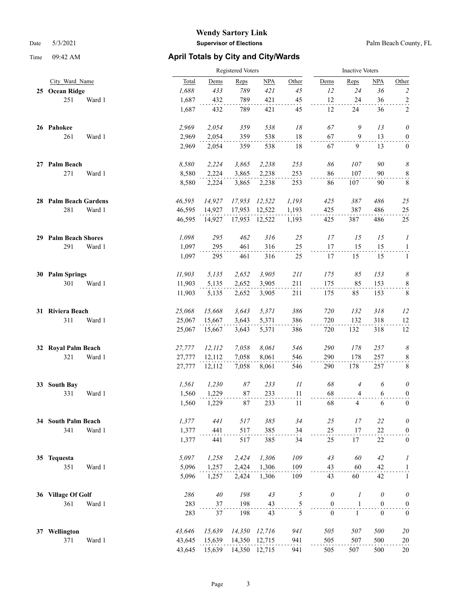|    |                         |        | Registered Voters |          |               |       |                  |                |                  | <b>Inactive Voters</b>     |  |  |  |
|----|-------------------------|--------|-------------------|----------|---------------|-------|------------------|----------------|------------------|----------------------------|--|--|--|
|    | City Ward Name          | Total  | Dems              | Reps     | NPA           | Other | Dems             | Reps           | NPA              | Other                      |  |  |  |
|    | 25 Ocean Ridge          | 1,688  | 433               | 789      | 421           | 45    | 12               | 24             | 36               | $\overline{c}$             |  |  |  |
|    | 251<br>Ward 1           | 1,687  | 432               | 789      | 421           | 45    | 12               | 24             | 36               | $\overline{a}$             |  |  |  |
|    |                         | 1,687  | 432               | 789      | 421           | 45    | 12               | 24             | 36               | 2                          |  |  |  |
|    | 26 Pahokee              | 2,969  | 2,054             | 359      | 538           | 18    | 67               | 9              | 13               | $\theta$                   |  |  |  |
|    | 261<br>Ward 1           | 2,969  | 2,054             | 359      | 538           | 18    | 67               | 9              | 13               | $\boldsymbol{0}$           |  |  |  |
|    |                         | 2,969  | 2,054             | 359      | 538           | 18    | 67               | 9              | 13               | $\boldsymbol{0}$           |  |  |  |
|    | 27 Palm Beach           | 8,580  | 2,224             | 3,865    | 2,238         | 253   | 86               | 107            | 90               | $\boldsymbol{\mathcal{S}}$ |  |  |  |
|    | 271<br>Ward 1           | 8,580  | 2,224             | 3,865    | 2,238         | 253   | 86               | 107            | 90               | $\frac{8}{1}$              |  |  |  |
|    |                         | 8,580  | 2,224             | 3,865    | 2,238         | 253   | 86               | 107            | 90               | 8                          |  |  |  |
|    | 28 Palm Beach Gardens   | 46,595 | 14,927            | 17,953   | 12,522        | 1,193 | 425              | 387            | 486              | 25                         |  |  |  |
|    | 281<br>Ward 1           | 46,595 | 14,927            | 17,953   | 12,522        | 1,193 | 425              | 387            | 486              | $25\,$                     |  |  |  |
|    |                         | 46,595 | 14,927            |          | 17,953 12,522 | 1,193 | 425              | 387            | 486              | 25                         |  |  |  |
|    | 29 Palm Beach Shores    | 1,098  | 295               | 462      | 316           | 25    | 17               | 15             | 15               | 1                          |  |  |  |
|    | 291<br>Ward 1           | 1,097  | 295               | 461      | 316           | 25    | 17               | 15             | 15               | $\mathbf{1}$               |  |  |  |
|    |                         | 1,097  | 295               | 461      | 316           | 25    | 17               | 15             | 15               | $\mathbf{1}$               |  |  |  |
|    | 30 Palm Springs         | 11,903 | 5,135             | 2,652    | 3,905         | 211   | 175              | 85             | 153              | 8                          |  |  |  |
|    | 301<br>Ward 1           | 11,903 | 5,135             | 2,652    | 3,905         | 211   | 175              | 85             | 153              | $\,8\,$                    |  |  |  |
|    |                         | 11,903 | 5,135             | 2,652    | 3,905         | 211   | 175              | 85             | 153              | $\,$ 8 $\,$                |  |  |  |
|    | 31 Riviera Beach        | 25,068 | 15,668            | 3,643    | 5,371         | 386   | 720              | 132            | 318              | 12                         |  |  |  |
|    | 311<br>Ward 1           | 25,067 | 15,667            | 3,643    | 5,371         | 386   | 720              | 132            | 318              | 12                         |  |  |  |
|    |                         | 25,067 | 15,667            | 3,643    | 5,371         | 386   | 720              | 132            | 318              | 12                         |  |  |  |
| 32 | <b>Royal Palm Beach</b> | 27,777 | 12, 112           | 7,058    | 8,061         | 546   | 290              | $178\,$        | 257              | $\boldsymbol{\mathcal{S}}$ |  |  |  |
|    | 321<br>Ward 1           | 27,777 | 12,112            | 7,058    | 8,061         | 546   | 290              | 178            | 257              | $\frac{8}{1}$              |  |  |  |
|    |                         | 27,777 | 12,112            | 7,058    | 8,061         | 546   | 290              | 178            | 257              | 8                          |  |  |  |
| 33 | <b>South Bay</b>        | 1,561  | 1,230             | $\it 87$ | 233           | 11    | 68               | $\overline{4}$ | 6                | $\theta$                   |  |  |  |
|    | 331<br>Ward 1           | 1,560  | 1,229             | 87       | 233           | 11    | 68               | $\overline{4}$ | $\sqrt{6}$       | $\boldsymbol{0}$           |  |  |  |
|    |                         | 1,560  | 1,229             | 87       | 233           | 11    | 68               | $\overline{4}$ | 6                | $\boldsymbol{0}$           |  |  |  |
|    | 34 South Palm Beach     | 1,377  | 441               | 517      | 385           | 34    | 25               | 17             | 22               | $\theta$                   |  |  |  |
|    | 341<br>Ward 1           | 1,377  | 441               | 517      | 385           | 34    | 25               | 17             | 22               | $\overline{0}$             |  |  |  |
|    |                         | 1,377  | 441               | 517      | 385           | 34    | 25               | 17             | 22               | $\boldsymbol{0}$           |  |  |  |
|    | 35 Tequesta             | 5,097  | 1,258             | 2,424    | 1,306         | 109   | 43               | 60             | 42               | 1                          |  |  |  |
|    | 351<br>Ward 1           | 5,096  | 1,257             | 2,424    | 1,306         | 109   | 43               | 60             | 42               | $\mathbf{1}$               |  |  |  |
|    |                         | 5,096  | 1,257             | 2,424    | 1,306         | 109   | 43               | 60             | 42               | $\mathbf{1}$               |  |  |  |
|    | 36 Village Of Golf      | 286    | 40                | 198      | 43            | 5     | $\theta$         | 1              | $\theta$         | $\theta$                   |  |  |  |
|    | 361<br>Ward 1           | 283    | 37                | 198      | 43            | 5     | $\boldsymbol{0}$ | $\mathbf{1}$   | $\boldsymbol{0}$ | $\boldsymbol{0}$           |  |  |  |
|    |                         | 283    | 37                | 198      | 43            | 5     | $\mathbf{0}$     | $\mathbf{1}$   | $\overline{0}$   | $\boldsymbol{0}$           |  |  |  |
|    | 37 Wellington           | 43,646 | 15,639            | 14,350   | 12,716        | 941   | 505              | 507            | 500              | $20\,$                     |  |  |  |
|    | 371<br>Ward 1           | 43,645 | 15,639            | 14,350   | 12,715        | 941   | 505              | 507            | 500              | 20                         |  |  |  |
|    |                         | 43,645 | 15,639            |          | 14,350 12,715 | 941   | 505              | 507            | 500              | 20                         |  |  |  |